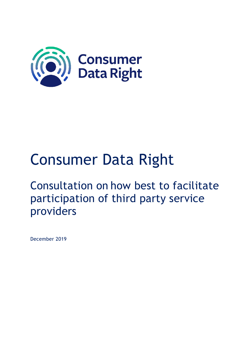

# Consumer Data Right

## Consultation on how best to facilitate participation of third party service providers

December 2019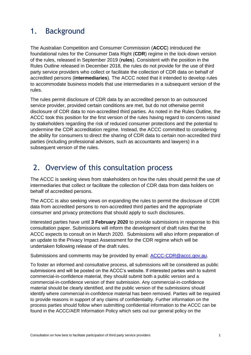### 1. Background

The Australian Competition and Consumer Commission (**ACCC**) introduced the foundational rules for the Consumer Data Right (**CDR**) regime in the lock-down version of the rules, released in September 2019 (**rules**). Consistent with the position in the Rules Outline released in December 2018, the rules do not provide for the use of third party service providers who collect or facilitate the collection of CDR data on behalf of accredited persons (**intermediaries**). The ACCC noted that it intended to develop rules to accommodate business models that use intermediaries in a subsequent version of the rules.

The rules permit disclosure of CDR data by an accredited person to an outsourced service provider, provided certain conditions are met, but do not otherwise permit disclosure of CDR data to non-accredited third parties. As noted in the Rules Outline, the ACCC took this position for the first version of the rules having regard to concerns raised by stakeholders regarding the risk of reduced consumer protections and the potential to undermine the CDR accreditation regime. Instead, the ACCC committed to considering the ability for consumers to direct the sharing of CDR data to certain non-accredited third parties (including professional advisors, such as accountants and lawyers) in a subsequent version of the rules.

#### 2. Overview of this consultation process

The ACCC is seeking views from stakeholders on how the rules should permit the use of intermediaries that collect or facilitate the collection of CDR data from data holders on behalf of accredited persons.

The ACCC is also seeking views on expanding the rules to permit the disclosure of CDR data from accredited persons to non-accredited third parties and the appropriate consumer and privacy protections that should apply to such disclosures.

Interested parties have until **3 February 2020** to provide submissions in response to this consultation paper. Submissions will inform the development of draft rules that the ACCC expects to consult on in March 2020. Submissions will also inform preparation of an update to the Privacy Impact Assessment for the CDR regime which will be undertaken following release of the draft rules.

Submissions and comments may be provided by email: [ACCC-CDR@accc.gov.au.](mailto:ACCC-CDR@accc.gov.au)

To foster an informed and consultative process, all submissions will be considered as public submissions and will be posted on the ACCC's website. If interested parties wish to submit commercial-in-confidence material, they should submit both a public version and a commercial-in-confidence version of their submission. Any commercial-in-confidence material should be clearly identified, and the public version of the submissions should identify where commercial-in-confidence material has been removed. Parties will be required to provide reasons in support of any claims of confidentiality. Further information on the process parties should follow when submitting confidential information to the ACCC can be found in the ACCC/AER Information Policy which sets out our general policy on the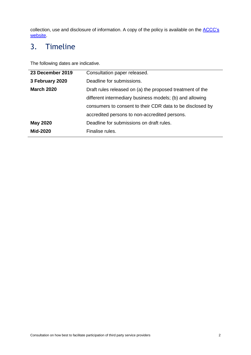collection, use and disclosure of information. A copy of the policy is available on the **ACCC's** [website.](https://www.accc.gov.au/publications/accc-aer-information-policy-collection-and-disclosure-of-information)

## 3. Timeline

The following dates are indicative.

| 23 December 2019  | Consultation paper released.                              |
|-------------------|-----------------------------------------------------------|
| 3 February 2020   | Deadline for submissions.                                 |
| <b>March 2020</b> | Draft rules released on (a) the proposed treatment of the |
|                   | different intermediary business models; (b) and allowing  |
|                   | consumers to consent to their CDR data to be disclosed by |
|                   | accredited persons to non-accredited persons.             |
| <b>May 2020</b>   | Deadline for submissions on draft rules.                  |
| <b>Mid-2020</b>   | Finalise rules.                                           |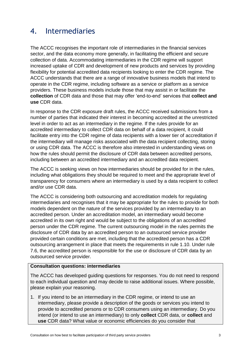#### 4. Intermediaries

The ACCC recognises the important role of intermediaries in the financial services sector, and the data economy more generally, in facilitating the efficient and secure collection of data. Accommodating intermediaries in the CDR regime will support increased uptake of CDR and development of new products and services by providing flexibility for potential accredited data recipients looking to enter the CDR regime. The ACCC understands that there are a range of innovative business models that intend to operate in the CDR regime, including software as a service or platform as a service providers. These business models include those that may assist in or facilitate the **collection** of CDR data and those that may offer 'end-to-end' services that **collect and use** CDR data.

In response to the CDR exposure draft rules, the ACCC received submissions from a number of parties that indicated their interest in becoming accredited at the unrestricted level in order to act as an intermediary in the regime. If the rules provide for an accredited intermediary to collect CDR data on behalf of a data recipient, it could facilitate entry into the CDR regime of data recipients with a lower tier of accreditation if the intermediary will manage risks associated with the data recipient collecting, storing or using CDR data. The ACCC is therefore also interested in understanding views on how the rules should permit the disclosure of CDR data between accredited persons, including between an accredited intermediary and an accredited data recipient.

The ACCC is seeking views on how intermediaries should be provided for in the rules, including what obligations they should be required to meet and the appropriate level of transparency for consumers where an intermediary is used by a data recipient to collect and/or use CDR data.

The ACCC is considering both outsourcing and accreditation models for regulating intermediaries and recognises that it may be appropriate for the rules to provide for both models dependent on the nature of the services provided by an intermediary to an accredited person. Under an accreditation model, an intermediary would become accredited in its own right and would be subject to the obligations of an accredited person under the CDR regime. The current outsourcing model in the rules permits the disclosure of CDR data by an accredited person to an outsourced service provider provided certain conditions are met, including that the accredited person has a CDR outsourcing arrangement in place that meets the requirements in rule 1.10. Under rule 7.6, the accredited person is responsible for the use or disclosure of CDR data by an outsourced service provider.

#### **Consultation questions: intermediaries**

The ACCC has developed guiding questions for responses. You do not need to respond to each individual question and may decide to raise additional issues. Where possible, please explain your reasoning.

1. If you intend to be an intermediary in the CDR regime, or intend to use an intermediary, please provide a description of the goods or services you intend to provide to accredited persons or to CDR consumers using an intermediary. Do you intend (or intend to use an intermediary) to only **collect** CDR data, or **collect** and **use** CDR data? What value or economic efficiencies do you consider that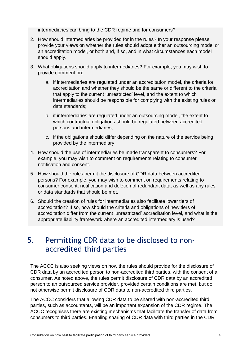intermediaries can bring to the CDR regime and for consumers?

- 2. How should intermediaries be provided for in the rules? In your response please provide your views on whether the rules should adopt either an outsourcing model or an accreditation model, or both and, if so, and in what circumstances each model should apply.
- 3. What obligations should apply to intermediaries? For example, you may wish to provide comment on:
	- a. if intermediaries are regulated under an accreditation model, the criteria for accreditation and whether they should be the same or different to the criteria that apply to the current 'unrestricted' level, and the extent to which intermediaries should be responsible for complying with the existing rules or data standards;
	- b. if intermediaries are regulated under an outsourcing model, the extent to which contractual obligations should be regulated between accredited persons and intermediaries;
	- c. if the obligations should differ depending on the nature of the service being provided by the intermediary.
- 4. How should the use of intermediaries be made transparent to consumers? For example, you may wish to comment on requirements relating to consumer notification and consent.
- 5. How should the rules permit the disclosure of CDR data between accredited persons? For example, you may wish to comment on requirements relating to consumer consent, notification and deletion of redundant data, as well as any rules or data standards that should be met.
- 6. Should the creation of rules for intermediaries also facilitate lower tiers of accreditation? If so, how should the criteria and obligations of new tiers of accreditation differ from the current 'unrestricted' accreditation level, and what is the appropriate liability framework where an accredited intermediary is used?

#### 5. Permitting CDR data to be disclosed to nonaccredited third parties

The ACCC is also seeking views on how the rules should provide for the disclosure of CDR data by an accredited person to non-accredited third parties, with the consent of a consumer. As noted above, the rules permit disclosure of CDR data by an accredited person to an outsourced service provider, provided certain conditions are met, but do not otherwise permit disclosure of CDR data to non-accredited third parties.

The ACCC considers that allowing CDR data to be shared with non-accredited third parties, such as accountants, will be an important expansion of the CDR regime. The ACCC recognises there are existing mechanisms that facilitate the transfer of data from consumers to third parties. Enabling sharing of CDR data with third parties in the CDR